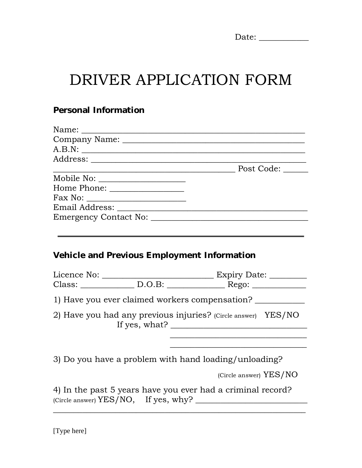| Dat<br>o.<br>╯. |  |
|-----------------|--|
|-----------------|--|

# DRIVER APPLICATION FORM

#### **Personal Information**

|                                             | A.B.N: |
|---------------------------------------------|--------|
|                                             |        |
|                                             |        |
| Mobile No:                                  |        |
|                                             |        |
|                                             |        |
|                                             |        |
|                                             |        |
|                                             |        |
|                                             |        |
| Vehicle and Previous Employment Information |        |
|                                             |        |
|                                             |        |

1) Have you ever claimed workers compensation?

2) Have you had any previous injuries? (Circle answer) YES/NO If yes, what? \_\_\_\_\_\_\_\_\_\_\_\_\_\_\_\_\_\_\_\_\_\_\_\_\_\_\_\_\_\_\_\_\_

3) Do you have a problem with hand loading/unloading?

(Circle answer) YES/NO

\_\_\_\_\_\_\_\_\_\_\_\_\_\_\_\_\_\_\_\_\_\_\_\_\_\_\_\_\_\_\_\_\_

4) In the past 5 years have you ever had a criminal record? (Circle answer) YES/NO, If yes, why? \_\_\_\_\_\_\_\_\_\_\_\_\_\_\_\_\_\_\_\_\_\_\_\_\_\_\_

\_\_\_\_\_\_\_\_\_\_\_\_\_\_\_\_\_\_\_\_\_\_\_\_\_\_\_\_\_\_\_\_\_\_\_\_\_\_\_\_\_\_\_\_\_\_\_\_\_\_\_\_\_\_\_\_\_\_\_\_\_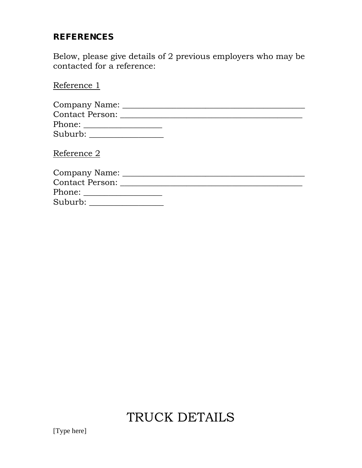#### **REFERENCES**

Below, please give details of 2 previous employers who may be contacted for a reference:

Reference 1

| Company Name:            |  |
|--------------------------|--|
| Contact Person:          |  |
|                          |  |
| Suburb: National Suburb: |  |
| Reference 2              |  |
| Company Name:            |  |

| <b>Contact Person:</b> |  |
|------------------------|--|
| Phone:                 |  |
| Suburb:                |  |

## TRUCK DETAILS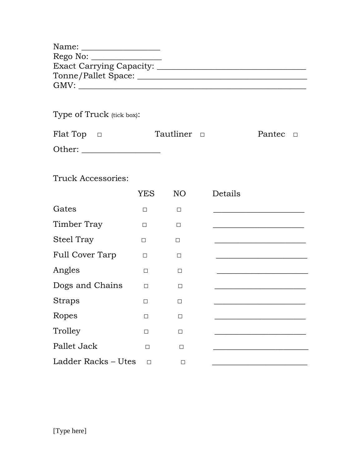| Name:                    |  |
|--------------------------|--|
| Rego No:                 |  |
| Exact Carrying Capacity: |  |
| Tonne/Pallet Space:      |  |
| GMV:                     |  |

### Type of Truck (tick box):

| Flat Top $\Box$ | Tautliner <b>D</b> | Pantec $\Box$ |  |
|-----------------|--------------------|---------------|--|
| Other:          |                    |               |  |

#### Truck Accessories:

|                        | <b>YES</b> | NO <sub>1</sub> | Details |
|------------------------|------------|-----------------|---------|
| Gates                  | $\Box$     | $\Box$          |         |
| Timber Tray            | $\Box$     | $\Box$          |         |
| <b>Steel Tray</b>      | $\Box$     | $\Box$          |         |
| <b>Full Cover Tarp</b> | $\Box$     | $\Box$          |         |
| Angles                 | П          | П               |         |
| Dogs and Chains        | $\Box$     | $\Box$          |         |
| <b>Straps</b>          | □          | П               |         |
| Ropes                  | $\Box$     | $\Box$          |         |
| Trolley                | $\Box$     | $\Box$          |         |
| Pallet Jack            | $\Box$     | П               |         |
| Ladder Racks – Utes    | $\Box$     | П               |         |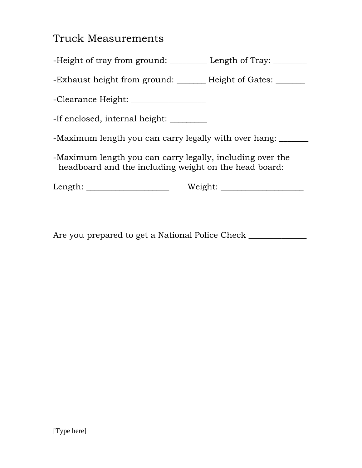### Truck Measurements

-Height of tray from ground: \_\_\_\_\_\_\_\_\_\_ Length of Tray: \_\_\_\_\_\_\_

-Exhaust height from ground: \_\_\_\_\_\_ Height of Gates: \_\_\_\_\_\_

-Clearance Height: \_\_\_\_\_\_\_\_\_\_\_\_\_\_\_\_\_\_

-If enclosed, internal height: \_\_\_\_\_\_\_\_

-Maximum length you can carry legally with over hang: \_\_\_\_\_\_\_

-Maximum length you can carry legally, including over the headboard and the including weight on the head board:

Length: \_\_\_\_\_\_\_\_\_\_\_\_\_\_\_\_\_\_\_\_ Weight: \_\_\_\_\_\_\_\_\_\_\_\_\_\_\_\_\_\_\_\_

Are you prepared to get a National Police Check \_\_\_\_\_\_\_\_\_\_\_\_\_\_\_\_\_\_\_\_\_\_\_\_\_\_\_\_\_\_\_\_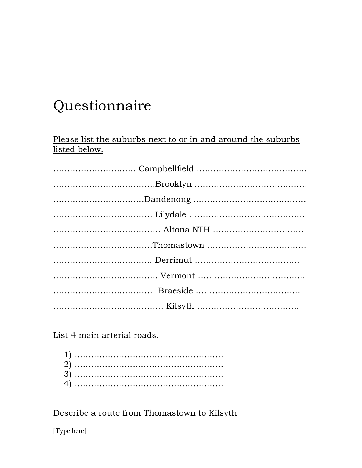## Questionnaire

Please list the suburbs next to or in and around the suburbs listed below.

List 4 main arterial roads.

Describe a route from Thomastown to Kilsyth

[Type here]